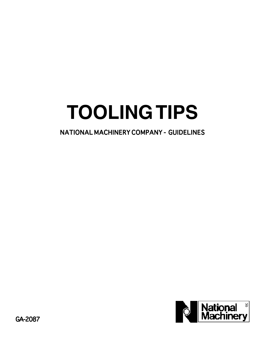# **TOOLING TIPS**

NATIONAL MACHINERY COMPANY - GUIDELINES

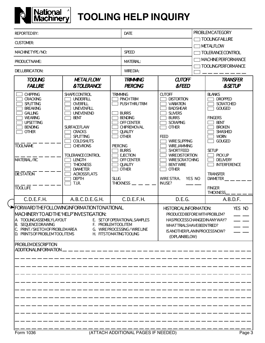

# **National TOOLING HELP INQUIRY**

|  | <b>REPORTEDBY:</b>                                                                                                                                                                                                                                                                                                                                                                          |                                                                                                                                                                                                                                                                                                                                                         | <b>DATE</b>                                       |                                                                                                                                                                                                                                                                | <b>PROBLEMCATEGORY</b>                                                                                                                                                                                                                                                                                                                                |                                           |                                                                                                                                                                                                                                                                                                             |  |
|--|---------------------------------------------------------------------------------------------------------------------------------------------------------------------------------------------------------------------------------------------------------------------------------------------------------------------------------------------------------------------------------------------|---------------------------------------------------------------------------------------------------------------------------------------------------------------------------------------------------------------------------------------------------------------------------------------------------------------------------------------------------------|---------------------------------------------------|----------------------------------------------------------------------------------------------------------------------------------------------------------------------------------------------------------------------------------------------------------------|-------------------------------------------------------------------------------------------------------------------------------------------------------------------------------------------------------------------------------------------------------------------------------------------------------------------------------------------------------|-------------------------------------------|-------------------------------------------------------------------------------------------------------------------------------------------------------------------------------------------------------------------------------------------------------------------------------------------------------------|--|
|  | <b>CUSTOMER:</b>                                                                                                                                                                                                                                                                                                                                                                            |                                                                                                                                                                                                                                                                                                                                                         |                                                   |                                                                                                                                                                                                                                                                |                                                                                                                                                                                                                                                                                                                                                       | <b>TOOLINGFAILURE</b><br><b>METALFLOW</b> |                                                                                                                                                                                                                                                                                                             |  |
|  | MACHINETYPE/NO:                                                                                                                                                                                                                                                                                                                                                                             |                                                                                                                                                                                                                                                                                                                                                         |                                                   | <b>SPEED</b>                                                                                                                                                                                                                                                   |                                                                                                                                                                                                                                                                                                                                                       | <b>TOLERANCE CONTROL</b>                  |                                                                                                                                                                                                                                                                                                             |  |
|  | PRODUCTNAME:                                                                                                                                                                                                                                                                                                                                                                                |                                                                                                                                                                                                                                                                                                                                                         |                                                   | <b>MATERIAL:</b>                                                                                                                                                                                                                                               |                                                                                                                                                                                                                                                                                                                                                       | <b>MACHINE PERFORMANCE</b>                |                                                                                                                                                                                                                                                                                                             |  |
|  | <b>DIELUBRICATION:</b>                                                                                                                                                                                                                                                                                                                                                                      |                                                                                                                                                                                                                                                                                                                                                         |                                                   | <b>WIREDIA:</b>                                                                                                                                                                                                                                                |                                                                                                                                                                                                                                                                                                                                                       | <b>TOOLINGPERFORMANCE</b>                 |                                                                                                                                                                                                                                                                                                             |  |
|  | <b>TOOLING</b>                                                                                                                                                                                                                                                                                                                                                                              | <b>METALFLOW</b><br><b>FAILURE</b><br><b>&amp;TOLERANCE</b>                                                                                                                                                                                                                                                                                             |                                                   | <b>TRIMMING</b><br><b>PIERCING</b>                                                                                                                                                                                                                             | <b>CUTOFF</b><br><b>&amp;FEED</b>                                                                                                                                                                                                                                                                                                                     |                                           | <b>TRANSFER</b><br><b>&amp;SETUP</b>                                                                                                                                                                                                                                                                        |  |
|  | <b>CHIPPING</b><br><b>CRACKING</b><br><b>SPLITTING</b><br><b>BREAKING</b><br><b>GALLING</b><br><b>WEARING</b><br><b>UPSETTING</b><br><b>BENDING</b><br><b>OTHER</b><br><b>TOOLNAME</b><br>MATERIAL/RC<br><b>DIESTATION</b><br><b>TOOLLIFE</b>                                                                                                                                               | <b>SHAPECONTROL</b><br><b>UNDERFILL</b><br>OVERFILL<br><b>UNEVENFILL</b><br><b>UNEVENEND</b><br><b>BENT</b><br><b>SURFACEFLAW</b><br><b>CRACKS</b><br><b>SPLITTING</b><br><b>COLDSHUTS</b><br><b>CHEVRONS</b><br><b>TOLERANCECONTROL</b><br><b>LENGTH</b><br><b>THICKNESS</b><br><b>DIAMETER</b><br><b>ACROSSFLATS</b><br><b>DEPTH</b><br><b>T.I.R.</b> | <b>TRIMMING</b><br><b>PIERCING</b><br><b>SLUG</b> | <b>PINCHTRIM</b><br><b>PUSHTHRUTRIM</b><br><b>BURRS</b><br><b>BENDING</b><br><b>OFF CENTER</b><br><b>CHIPREMOVAL</b><br><b>QUALITY</b><br><b>OTHER</b><br><b>BURRS</b><br><b>EJECTION</b><br><b>OFF CENTER</b><br><b>QUALITY</b><br><b>OTHER</b><br>THICKNESS_ | <b>CUTOFF</b><br><b>DISTORTION</b><br><b>VARIATION</b><br><b>BADSHEAR</b><br><b>SLIVERS</b><br><b>BURRS</b><br><b>SCRAPING</b><br><b>OTHER</b><br><b>FEED</b><br><b>WIRE SLIPPING</b><br><b>WIRE JAMMING</b><br><b>SHORTFEED</b><br><b>WIREDISTORTION</b><br><b>WIRE SCRATCHING</b><br><b>BENTWIRE</b><br><b>OTHER</b><br>WIRE STRA.<br><b>INUSE?</b> | YES NO                                    | <b>BLANKS</b><br><b>DROPPED</b><br><b>SCRATCHED</b><br><b>GOUGED</b><br><b>FINGERS</b><br><b>BENT</b><br><b>BROKEN</b><br><b>SMASHED</b><br><b>WORN</b><br><b>GOUGED</b><br><b>SETUP</b><br><b>PICK UP</b><br><b>DELIVERY</b><br><b>INTERFERENCE</b><br><b>TRANSFER</b><br><b>DIAMETER</b><br><b>FINGER</b> |  |
|  | C.D.E.F.H.                                                                                                                                                                                                                                                                                                                                                                                  | A.B.C.D.E.G.H.                                                                                                                                                                                                                                                                                                                                          |                                                   | C.D.E.F.H.                                                                                                                                                                                                                                                     | D.E.G.                                                                                                                                                                                                                                                                                                                                                |                                           | THICKNESS_<br>A.B.D.F.                                                                                                                                                                                                                                                                                      |  |
|  | HFORWARDTHEFOLLOWINGINFORMATIONTONATIONAL<br>MACHINERYTO AID THE 'HELP' INVESTIGATION:<br>A TOOLINGASSEMBLYLAYOUT<br>E. SETOFOPERATIONAL SAMPLES<br><b>SEQUENCE DRAWING</b><br>F. PROBLEMTOOLITEM<br>IB.<br>PRINT/SKETCHOFPROBLEMAREA<br>G. WIRE PROCESSING / WIRE LINE<br>D. PRINTS OF PROBLEM TOOL ITEMS<br>H. FITSTOMATINGTOOLING<br><b>PROBLEMDESCRIPTION</b><br>ADDITIONALINFORMATION. |                                                                                                                                                                                                                                                                                                                                                         |                                                   |                                                                                                                                                                                                                                                                | YES NO<br><b>HISTORICALINFORMATION:</b><br>PRODUCED BEFORE WITH PROBLEM?<br>HASPROCESSCHANGEDINANYWAY?<br>WHATTRIALSHAVEBEENTRIED?<br>ISANOTHERPLANINPROCESSNOW?<br>(EXPLAINBELOW)                                                                                                                                                                    |                                           |                                                                                                                                                                                                                                                                                                             |  |
|  |                                                                                                                                                                                                                                                                                                                                                                                             |                                                                                                                                                                                                                                                                                                                                                         |                                                   |                                                                                                                                                                                                                                                                |                                                                                                                                                                                                                                                                                                                                                       |                                           |                                                                                                                                                                                                                                                                                                             |  |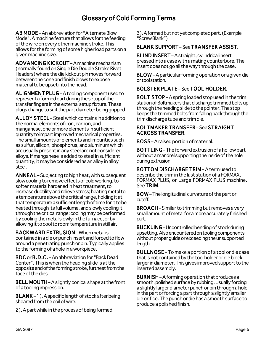# Glossary of Cold Forming Terms

AB MODE – An abbreviation for "Alternate Blow Mode". A machine feature that allows for the feeding of the wire on every other machine stroke. This allows for the forming of some higher load parts on a given machine size.

ADVANCING KICKOUT – A machine mechanism (normally found on Single Die Double Stroke Rivet Headers) where the die kickout pin moves forward between the cone and finish blows to expose material to be upset into the head.

ALIGNMENT PLUG - A tooling component used to represent a formed part during the setup of the transfer fingers in the external setup fixture. These plugs change to suit the part diameter being gripped.

ALLOY STEEL – Steel which contains in addition to the normal elements of iron, carbon, and manganese, one or more elements in sufficient quantity to impart improved mechanical properties. The small amounts of elements and impurities such as sulfur, silicon, phosphorus, and aluminum which are usually present in any steel are not considered alloys. If manganese is added to steel in sufficient quantity, it may be considered as an alloy in alloy steel.

ANNEAL – Subjecting to high heat, with subsequent slow cooling to remove effects of cold working, to soften material hardened in heat treatment, to increase ductility and relieve stress; heating metal to a temperature above the critical range, holding it at that temperature a sufficient length of time for it to be heated through its full volume, and slowly cooling it through the critical range: cooling may be performed by cooling the metal slowly in the furnace, or by allowing it to cool to room temperature in still air.

**BACKWARD EXTRUSION – When metal is** contained in a die or punch insert and forced to flow around a penetrating punch or pin. Typically applies to the forming of a hole in a workpiece.

**BDC** or **B.D.C.** – An abbreviation for "Back Dead Center". This is when the heading slide is at the opposite end of the forming stroke, furthest from the face of the dies.

BELL MOUTH – A slightly conical shape at the front of a tooling impression.

**BLANK** – 1). A specific length of stock after being sheared from the coil of wire.

2). A part while in the process of being formed.

3). A formed but not yet completed part. (Example "Screw Blank")

# BLANK SUPPORT – See TRANSFER ASSIST.

BLIND INSERT - A straight, cylindrical insert pressed into a case with a mating counterbore. The insert does not go all the way through the case.

BLOW – A particular forming operation or a given die or tool station.

# BOLSTER PLATE – See TOOL HOLDER.

BOLT STOP – A spring loaded stop used in the trim station of Boltmakers that discharge trimmed bolts up through the heading slide to the pointer. The stop keeps the trimmed bolts from falling back through the trim discharge tube and trim die.

#### BOLTMAKER TRANSFER-See STRAIGHT ACROSS TRANSFER.

**BOSS** – A raised portion of material.

BOTTLING - The forward extrusion of a hollow part without a mandrel supporting the inside of the hole during extrusion.

BOTTOM DISCHARGE TRIM-A term used to describe the trim in the last station of a FORMAX, FORMAX PLUS, or Large FORMAX PLUS machine. See TRIM.

BOW – The longitudinal curvature of the part or cutoff.

**BROACH** – Similar to trimming but removes a very small amount of metal for a more accurately finished part.

**BUCKLING** – Uncontrolled bending of stock during upsetting. Also encountered on tooling components without proper guide or exceeding the unsupported length.

**BULLNOSE** – To make a portion of a tool or die case that is not contained by the tool holder or die block larger in diameter. This gives improved support to the inserted assembly.

**BURNISH** – A forming operation that produces a smooth, polished surface by rubbing. Usually forcing a slightly larger diameter punch or pin through a hole in the part or forcing a part through a slightly smaller die orifice. The punch or die has a smooth surface to produce a polished finish.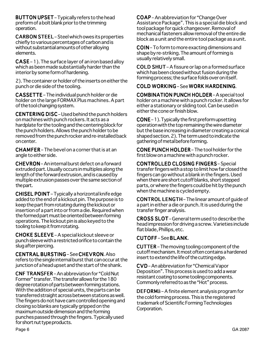**BUTTON UPSET** – Typically refers to the head preform of a bolt blank prior to the trimming operation.

**CARBON STEEL** – Steel which owes its properties chiefly to various percentages of carbon and is without substantial amounts of other alloying elements.

 $CASE-1$ ). The surface layer of an iron based alloy which as been made substantially harder than the interior by some form of hardening.

2). The container or holder of the inserts on either the punch or die side of the tooling.

**CASSETTE** – The individual punch holder or die holder on the large FORMAX Plus machines. A part of the tool changing system.

CENTERING DISC – Used behind the punch holders on machines with punch rockers. It acts as a hardplate for the tooling and the centering block for the punch holders. Allows the punch holder to be removed from the punch rocker and re-installed back on center.

 $CHAMFER$  – The bevel on a corner that is at an angle to either side.

CHEVRON – An internal burst defect on a forward extruded part. Usually occurs in multiples along the length of the forward extrusion, and is caused by multiple extrusion passes over the same section of the part.

**CHISEL POINT** – Typically a horizontal knife edge added to the end of a kickout pin. The purpose is to keep the part from rotating during the kickout or insertion of a part into or from a die. Required when the formed part must be oriented between forming operations. The kickout pin is also keyed to the tooling to keep it from rotating.

**CHOKE SLEEVE** – A special kickout sleeve or punch sleeve with a restricted orifice to contain the slug after piercing.

CENTRAL BURSTING - See CHEVRON. Also refers to the single internal burst that can occur at the junction of a head upset and the start of the shank.

**CNF TRANSFER – An abbreviation for "Cold Nut"** Former" transfer. The transfer allows for the 180 degree rotation of parts between forming stations. With the addition of special units, the parts can be transferred straight across between stations as well. The fingers do not have cam controlled opening and closing so blanks are typically gripped on the maximum outside dimension and the forming punches passed through the fingers. Typically used for short nut type products.

**COAP** – An abbreviation for "Change Over Assistance Package". This is a special die block and tool package for quick changeover. Removal of mechanical fasteners allow removal of the entire die block as a unit and the entire tool package as a unit.

COIN – To form to more exacting dimensions and shape by re-striking. The amount of forming is usually relatively small.

COLD SHUT – A fissure or lap on a formed surface which has been closed without fusion during the forming process; the surface folds over on itself.

# COLD WORKING – See WORK HARDENING.

COMBINATION PUNCH HOLDER - A special tool holder on a machine with a punch rocker. It allows for either a stationary or sliding tool. Can be used in either the cone or finish blow.

CONE –1). Typically the first preform upsetting operation with the top remaining the wire diameter but the base increasing in diameter creating a conical shaped section. 2). The term used to indicate the gathering of metal before forming.

**CONE PUNCH HOLDER** – The tool holder for the first blow on a machine with a punch rocker.

**CONTROLLED CLOSING FINGERS - Special** transfer fingers with a stop to limit how far closed the fingers can go without a blank in the fingers. Used when there are short cutoff blanks, short stepped parts, or where the fingers could be hit by the punch when the machine is cycled empty.

**CONTROL LENGTH** – The linear amount of quide of a part in either a die or punch. It is used during the transfer finger analysis.

**CROSS SLOT** – General term used to describe the head impression for driving a screw. Varieties include flat blade, Phillips, etc.

# CUTOFF-See BLANK.

CUTTER – The moving tooling component of the cutoff mechanism. It most often contains a hardened insert to extend the life of the cutting edge.

CVD – An abbreviation for "Chemical Vapor CVD Deposition". This process is used to add a wear resistant coating to some tooling components. Commonly referred to as the "Hot" process.

DEFORMä – A finite element analysis program for the cold forming process. This is the registered trademark of Scientific Forming Technologies Corporation.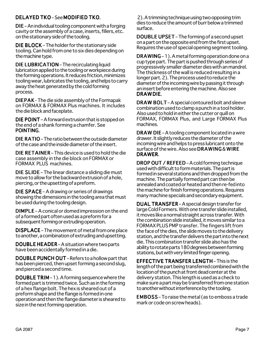# DELAYED TKO-See MODIFIED TKO.

 $DIE$  – An individual tooling component with a forging cavity or the assembly of a case, inserts, fillers, etc. on the stationary side of the tooling.

DIE BLOCK - The holder for the stationary side tooling. Can hold from one to six dies depending on the machine type.

**DIE LUBRICATION – The recirculating liquid** lubrication applied to the tooling or workpiece during the forming operations. It reduces friction, minimizes tooling wear, lubricates the tooling, and helps to carry away the heat generated by the cold forming process.

**DIEPAK** - The die side assembly of the Formapak on FORMAX & FORMAX Plus machines. It includes the die block and faceplate.

DIE POINT – A forward extrusion that is stopped on the end of a shank forming a chamfer. See POINTING.

DIE RATIO – The ratio between the outside diameter of the case and the inside diameter of the insert.

**DIE RETAINER** – This device is used to hold the die case assembly in the die block on FORMAX or FORMAX PLUS machines.

DIE SLIDE – The linear distance a sliding die must move to allow for the backward extrusion of a hole, piercing, or the upsetting of a preform.

DIE SPACE – A drawing or series of drawings showing the dimensions in the tooling area that must be used during the tooling design.

 $DIMPLE - A conical or domed impression on the end$ of a formed part often used as a preform for a subsequent forming or extruding operation.

**DISPLACE** – The movement of metal from one place to another, a combination of extruding and upsetting.

**DOUBLE HEADER** – A situation where two parts have been accidentally formed in a die.

DOUBLE PUNCH OUT - Refers to a hollow part that has been pierced, then upset forming a second slug, and pierced a second time.

**DOUBLE TRIM** – 1). A forming sequence where the formed part is trimmed twice. Such as in the forming of a hex flange bolt. The hex is sheared out of a preform shape and the flange is formed in one operation and then the flange diameter is sheared to size in the next forming operation.

 2). A trimming technique using two opposing trim dies to reduce the amount of burr below a trimmed surface.

**DOUBLE UPSET** – The forming of a second upset on a part on the opposite end from the first upset. Requires the use of special opening segment tooling.

**DRAWING** – 1). A metal forming operation done on a cup type part. The part is pushed through series of progressively smaller diameter dies with an mandrel. The thickness of the wall is reduced resulting in a longer part. 2). The process used to reduce the diameter of the incoming wire by passing it through an insert before entering the machine. Also see DRAWDIE.

DRAW BOLT – A special contoured bolt and sleeve combination used to clamp a punch in a tool holder. Also used to hold in either the cutter or quill on FORMAX, FORMAX Plus, and Large FORMAX Plus machines.

**DRAW DIE** – A tooling component located in a wire drawer. It slightly reduces the diameter of the incoming wire and helps to press lubricant onto the surface of the wire. Also see DRAWING & WIRE DRAWER.

**DROP OUT / REFEED** – A cold forming technique used with difficult to form materials. The part is formed in several stations and then dropped from the machine. The partially formed part can then be annealed and coated or heated and then re-fed into the machine for finish forming operations. Requires many machine specials and secondary equipment.

DUAL TRANSFER - A special design transfer for large Cold Formers. With one transfer slide installed, it moves like a normal straight across transfer. With the combination slide installed, it moves similar to a FORMAX PLUS PMP transfer. The fingers lift from the face of the dies, the slide moves to the delivery station, and the transfer delivers the part into the next die. This combination transfer slide also has the ability to rotate parts 180 degrees between forming stations, but with very limited finger opening.

**EFFECTIVE TRANSFER LENGTH-This is the** length of the part being transferred combined with the location of the punch at front dead center at the delivery station. This length is used as a check to make sure a part may be transferred from one station to another without interference by the tooling.

**EMBOSS** – To raise the metal (as to emboss a trade mark or code on screw heads).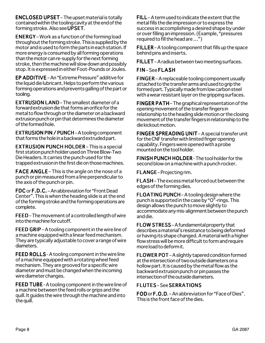**ENCLOSED UPSET** – The upset material is totally contained within the tooling cavity at the end of the forming stroke. Also see UPSET.

**ENERGY** – Work as a function of the forming load throughout the forming stroke. This is supplied by the motor and is used to form the parts in each station. If more energy is consumed by all forming operations than the motor can re-supply for the next forming stroke, then the machine will slow down and possibly stop. It is expressed in either Foot-Pounds or Joules.

EP ADDITIVE - An "Extreme Pressure" additive for the liquid die lubricant. Helps to perform the various forming operations and prevents galling of the part or tooling.

**EXTRUSION LAND** – The smallest diameter of a forward extrusion die that forms an orifice for the metal to flow through or the diameter on a backward extrusion punch or pin that determines the diameter of the formed hole.

EXTRUSION PIN / PUNCH - A tooling component that forms the hole in a backward extruded part.

**EXTRUSION PUNCH HOLDER – This is a special** first station punch holder used on Three Blow-Two Die Headers. It carries the punch used for the trapped extrusion in the first die on those machines.

FACE ANGLE – This is the angle on the nose of a punch or pin measured from a line perpendicular to the axis of the punch or pin.

FDC or F.D.C. – An abbreviation for "Front Dead Center". This is when the heading slide is at the end of the forming stroke and the forming operations are complete.

FEED –The movement of a controlled length of wire into the machine for cutoff.

FEED GRIP – A tooling component in the wire line of a machine equipped with a linear feed mechanism. They are typically adjustable to cover a range of wire diameters.

FEED ROLLS - A tooling component in the wire line of a machine equipped with a rotating wheel feed mechanism. They are grooved for a specific wire diameter and must be changed when the incoming wire diameter changes.

FEED TUBE - A tooling component in the wire line of a machine between the feed rolls or grips and the quill. It guides the wire through the machine and into the quill.

 $FILL - A$  term used to indicate the extent that the metal fills the die impression or to express the success in accomplishing a desired shape by under or over filling an impression. (Example, "pressures required to fill the head are …")

 $FILLER - A$  tooling component that fills up the space behind pins and inserts.

FILLET - A radius between two meeting surfaces.

# FIN-See FLASH

FINGER – A replaceable tooling component usually attached to the transfer arms and used to grip the formed part. Typically made from low carbon steel with a wear resistant layer on the gripping surfaces.

FINGER PATH – The graphical representation of the opening movement of the transfer fingers in relationship to the heading slide motion or the closing movement of the transfer fingers in relationship to the die kickout motion.

FINGER SPREADING UNIT - A special transfer unit for the CNF transfer with limited finger opening capability. Fingers were opened with a probe mounted on the tool holder.

**FINISH PUNCH HOLDER** - The tool holder for the second blow on a machine with a punch rocker.

FLANGE – Projecting rim.

FLASH – The excess metal forced out between the edges of the forming dies.

FLOATING PUNCH – A tooling design where the punch is supported in the case by "O"-rings. This design allows the punch to move slightly to accommodate any mis-alignment between the punch and die.

 $FLOW STRESS - A fundamental property that$ describes a material's resistance to being deformed or having its shape changed. A material with a higher flow stress will be more difficult to form and require more load to deform it.

FLOWER POT - A slightly tapered condition formed at the intersection of two outside diameters on a hollow part. It is caused by the metal flow as the backward extrusion punch or pin passes the intersection of the outside diameters.

# **FLUTES - See SERRATIONS**

 $FOD$  or  $F.O.D.$  – An abbreviation for "Face of Dies". This is the front face of the dies.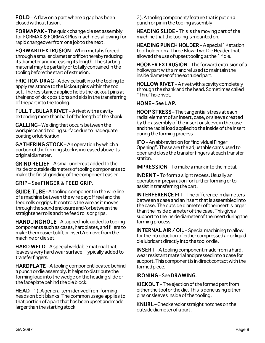FOLD – A flaw on a part where a gap has been closed without fusion.

FORMAPAK – The quick change die set assembly for FORMAX & FORMAX Plus machines allowing for rapid changeover from one job to the next.

FORWARD EXTRUSION – When metal is forced through a smaller diameter orifice thereby reducing its diameter and increasing its length. The starting material may be partially or totally contained in the tooling before the start of extrusion.

FRICTION DRAG – A device built into the tooling to apply resistance to the kickout pins within the tool set. The resistance applied holds the kickout pins at their end of kick positions and aids in the transferring of the part into the tooling.

FULL TUBULAR RIVET - A rivet with a cavity extending more than half of the length of the shank.

GALLING – Welding that occurs between the workpiece and tooling surface due to inadequate coating or lubrication.

**GATHERING STOCK** – An operation by which a portion of the forming stock is increased above its original diameter.

**GRIND RELIEF** – A small undercut added to the inside or outside diameters of tooling components to make the finish grinding of the component easier.

# $GRIP - See FINGER & FEED GRIP.$

**GUIDE TUBE - A tooling component in the wire line** of a machine between the wire payoff reel and the feed rolls or grips. It controls the wire as it moves through the sound enclosure and/or between the straightener rolls and the feed rolls or grips.

HANDLING HOLE – A tapped hole added to tooling components such as cases, hardplates, and fillers to make them easier to lift or insert/remove from the machine or die set.

**HARD WELD** – A special weldable material that leaves a very hard wear surface. Typically added to transfer fingers.

HARDPLATE – A tooling component located behind a punch or die assembly. It helps to distribute the forming load into the wedge on the heading slide or the faceplate behind the die block.

HEAD –1). A general term derived from forming heads on bolt blanks. The common usage applies to that portion of a part that has been upset and made larger than the starting stock.

2). A tooling component/feature that is put on a punch or pin in the tooling assembly.

HEADING SLIDE – This is the moving part of the machine that the tooling is mounted on.

HEADING PUNCH HOLDER - A special 1<sup>st</sup> station tool holder on a Three Blow-Two Die Header that allowed the use of upset tooling at the  $1<sup>st</sup>$  die.

HOOKER EXTRUSION – The forward extrusion of a hollow part with a mandrel used to maintain the inside diameter of the extruded part.

HOLLOW RIVET - A rivet with a cavity completely through the shank and the head. Sometimes called "Thru" hole rivet.

HONE –See LAP.

HOOP STRESS - The tangential stress at each radial element of an insert, case, or sleeve created by the assembly of the insert or sleeve in the case and the radial load applied to the inside of the insert during the forming process.

 $IFO - An abbreviation for "Individual Finger"$ Opening". These are the adjustable cams used to open and close the transfer fingers at each transfer station.

**IMPRESSION** – To make a mark into the metal.

INDENT – To form a slight recess. Usually an operation in preparation for further forming or to assist in transferring the part.

**INTERFERENCE FIT** – The difference in diameters between a case and an insert that is assembled into the case. The outside diameter of the insert is larger than the inside diameter of the case. This gives support to the inside diameter of the insert during the forming process.

INTERNAL AIR / OIL – Special machining to allow for the introduction of either compressed air or liquid die lubricant directly into the tool or die.

INSERT – A tooling component made from a hard, wear resistant material and pressed into a case for support. This component is in direct contact with the formed piece.

# IRONING – See DRAWING.

KICKOUT – The ejection of the formed part from either the tool or the die. This is done using either pins or sleeves inside of the tooling.

KNURL – Checkered or straight notches on the outside diameter of a part.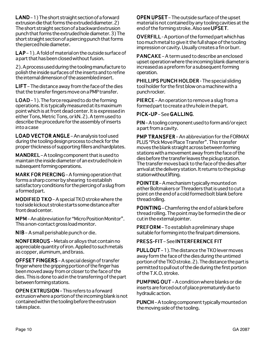$LAND - 1)$  The short straight section of a forward extrusion die that forms the extruded diameter. 2) The short straight section of a backward extrusion punch that forms the extruded hole diameter. 3) The short straight section of a piercing punch that forms the pierced hole diameter.

LAP – 1). A fold of material on the outside surface of a part that has been closed without fusion.

2). A process used during the tooling manufacture to polish the inside surfaces of the inserts and to refine the internal dimension of the assembled insert.

LIFT - The distance away from the face of the dies that the transfer fingers move on a PMP transfer.

LOAD –1). The force required to do the forming operations. It is typically measured at its maximum point which is at front dead center. It is expressed in either Tons, Metric Tons, or kN. 2). A term used to describe the procedure for the assembly of inserts into a case

LOAD VECTOR ANGLE - An analysis tool used during the tooling design process to check for the proper thickness of supporting fillers and hardplates.

MANDREL – A tooling component that is used to maintain the inside diameter of an extruded hole in subsequent forming operations.

MARK FOR PIERCING – A forming operation that forms a sharp corner by shearing to establish satisfactory conditions for the piercing of a slug from a formed part.

MODIFIED TKO – A special TKO stroke where the tool side kickout stroke starts some distance after front dead center.

**MPM** – An abbreviation for "Micro Position Monitor". This a non-contact gross load monitor.

 $NIB - A$  small perishable punch or die.

NONFERROUS – Metals or alloys that contain no appreciable quantity of iron. Applied to such metals as copper, aluminum, and brass.

OFFSET FINGERS - A special design of transfer finger where the gripping portion of the finger has been moved away from or closer to the face of the dies. This is done to aid in the transferring of the part between forming stations.

OPEN EXTRUSION - This refers to a forward extrusion where a portion of the incoming blank is not contained within the tooling before the extrusion takes place.

OPEN UPSET - The outside surface of the upset material is not contained by any tooling cavities at the end of the forming stroke. Also see UPSET.

OVERFILL - A portion of the formed part which has too much metal to give it the full shape of the tooling impression or cavity. Usually creates a fin or burr.

 $PANCAKE - A term used to describe an enclosed$ upset operation where the incoming blank diameter is increased as a preform for a subsequent forming operation.

PHILLIPS PUNCH HOLDER - The special sliding tool holder for the first blow on a machine with a punch rocker.

**PIERCE** – An operation to remove a slug from a formed part to create a thru hole in the part.

# PICK-UP-See GALLING.

PIN – A tooling component used to form and/or eject a part from a cavity.

**PMP TRANSFER** – An abbreviation for the FORMAX PLUS "Pick Move Place Transfer". This transfer moves the blank straight across between forming stations with a movement away from the face of the dies before the transfer leaves the pickup station. The transfer moves back to the face of the dies after arrival at the delivery station. It returns to the pickup station without lifting.

POINTER – A mechanism typically mounted on either Boltmakers or Threaders that is used to cut a point on the end of a cold formed bolt blank before thread rolling.

POINTING – Chamfering the end of a blank before thread rolling. The point may be formed in the die or cut in the external pointer.

**PREFORM** – To establish a preliminary shape suitable for forming into the final part dimensions.

# PRESS-FIT-See INTERFERENCE FIT

PULLOUT – 1). The distance the TKO lever moves away form the face of the dies during the untimed portion of the TKO stroke. 2). The distance the part is permitted to pull out of the die during the first portion of the T.K.O. stroke.

**PUMPING OUT** – A condition where blanks or die inserts are forced out of place prematurely due to hydraulic action.

PUNCH – A tooling component typically mounted on the moving side of the tooling.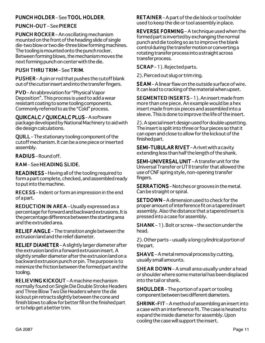# PUNCH HOLDER-See TOOL HOLDER.

# PUNCH-OUT-See PIERCE

**PUNCH ROCKER** – An oscillating mechanism mounted on the front of the heading slide of single die-two blow or two die-three blow forming machines. The tooling is mounted onto the punch rocker. Between forming blows, the mechanism moves the next forming punch on center with the die.

# PUSH THRU TRIM – See TRIM.

PUSHER – A pin or rod that pushes the cutoff blank out of the cutter insert and into the transfer fingers.

PVD – An abbreviation for "Physical Vapor Deposition". This process is used to add a wear resistant coating to some tooling components. Commonly referred to as the "Cold" process.

# **OUIKCALC / OUIKCALC PLUS-A software**

package developed by National Machinery to aid with die design calculations.

QUILL – The stationary tooling component of the cutoff mechanism. It can be a one piece or inserted assembly.

# RADIUS-Round off.

RAM-See HEADING SLIDE.

READINESS – Having all of the tooling required to form a part complete, checked, and assembled ready to put into the machine.

RECESS – Indent or form an impression in the end of a part.

**REDUCTION IN AREA** – Usually expressed as a percentage for forward and backward extrusions. It is the percentage difference between the starting area and the extruded area.

RELIEF ANGLE – The transition angle between the extrusion land and the relief diameter.

RELIEF DIAMETER - A slightly larger diameter after the extrusion land in a forward extrusion insert. A slightly smaller diameter after the extrusion land on a backward extrusion punch or pin. The purpose is to minimize the friction between the formed part and the tooling.

RELIEVING KICKOUT – A machine mechanism normally found on Single Die Double Stroke Headers and Three Blow Two Die Headers where the die kickout pin retracts slightly between the cone and finish blows to allow for better fill on the finished part or to help get a better trim.

**RETAINER** – A part of the die block or tool holder used to keep the die or tool assembly in place.

REVERSE FORMING - A technique used when the formed part is inverted by exchanging the normal punch and die tooling so as to improve the blank control during the transfer motion or converting a rotating transfer process into a straight across transfer process.

SCRAP-1). Rejected parts.

2). Pierced out slug or trim ring.

SEAM – A linear flaw on the outside surface of wire. It can lead to cracking of the material when upset.

SEGMENTED INSERTS - 1). An insert made from more than one piece. An example would be a hex insert made from six pieces and assembled into a sleeve. This is done to improve the life of the insert.

2). A special insert design used for double upsetting. The insert is split into three or four pieces so that it can open and close to allow for the kickout of the finished part.

SEMI-TUBULAR RIVET-A rivet with a cavity extending less than half the length of the shank.

SEMI-UNIVERSAL UNIT - A transfer unit for the Universal Transfer or UT II transfer that allowed the use of CNF spring style, non-opening transfer fingers.

SERRATIONS – Notches or grooves in the metal. Can be straight or spiral.

SETDOWN – A dimension used to check for the proper amount of interference fit on a tapered insert assembly. Also the distance that a tapered insert is pressed into a case for assembly.

 $SHANK - 1$ . Bolt or screw – the section under the head.

2). Other parts – usually a long cylindrical portion of the part.

 $SHAVE - A metal$  removal process by cutting, usually small amounts.

**SHEAR DOWN** – A small area usually under a head or shoulder where some material has been displaced into the tail or shank.

SHOULDER - The portion of a part or tooling component between two different diameters.

SHRINK-FIT – A method of assembling an insert into a case with an interference fit. The case is heated to expand the inside diameter for assembly. Upon cooling the case will support the insert.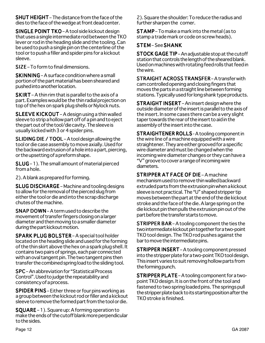$SHUT$  HEIGHT – The distance from the face of the dies to the face of the wedge at front dead center.

SINGLE POINT TKO - A tool side kickout design that uses a single intermediate rod between the TKO lever or rod in the heading slide and the tooling. Can be used to push a single pin on the centerline of the tool or to push a filler and spider pins for a kickout sleeve.

SIZE – To form to final dimensions.

 $SKINNING - A surface condition where a small$ portion of the part material has been sheared and pushed into another location.

**SKIRT** – A thin rim that is parallel to the axis of a part. Examples would be the thin radial projection on top of the hex on spark plug shells or Nylock nuts.

SLEEVE KICKOUT – A design using a thin walled sleeve to strip a hollow part off of a pin and to eject the part out of the tool/die cavity. The sleeve is usually kicked with 3 or 4 spider pins.

SLIDING DIE / TOOL – A tool design allowing the tool or die case assembly to move axially. Used for the backward extrusion of a hole into a part, piercing, or the upsetting of a preform shape.

SLUG – 1). The small amount of material pierced from a hole.

2). A blank as prepared for forming.

**SLUG DISCHARGE** – Machine and tooling designs to allow for the removal of the pierced slug from either the tool or die and into the scrap discharge chutes of the machine.

SNAP DOWN - A term used to describe the movement of transfer fingers closing on a larger diameter and then moving to a smaller diameter during the part kickout motion.

SPARK PLUG BOLSTER - A special tool holder located on the heading slide and used for the forming of the thin skirt above the hex on a spark plug shell. It contains two pairs of springs, each pair connected with an oval tangent pin. The two tangent pins then transfer the combined spring load to the sliding tool.

SPC – An abbreviation for "Statistical Process Control". Used to judge the repeatability and consistency of a process.

SPIDER PINS – Either three or four pins working as a group between the kickout rod or filler and a kickout sleeve to remove the formed part from the tool or die.

 $SQUARE - 1)$ . Square up: A forming operation to make the ends of the cutoff blank more perpendicular to the sides.

2). Square the shoulder: To reduce the radius and further sharpen the corner.

 $STAMP$  – To make a mark into the metal (as to stamp a trade mark or code on screw heads).

# STEM –See SHANK

STOCK GAGE TIP – An adjustable stop at the cutoff station that controls the length of the sheared blank. Used on machines with rotating feed rolls that feed in the wire.

STRAIGHT ACROSS TRANSFER-A transfer with cam controlled opening and closing fingers that moves the parts in a straight line between forming stations. Typically used for long shank type products.

STRAIGHT INSERT - An insert design where the outside diameter of the insert is parallel to the axis of the insert. In some cases there can be a very slight taper towards the rear of the insert to aid in the assembly of the insert into the case.

STRAIGHTENER ROLLS - A tooling component in the wire line of a machine equipped with a wire straightener. They are either grooved for a specific wire diameter and must be changed when the incoming wire diameter changes or they can have a "V" groove to cover a range of incoming wire diameters.

STRIPPER AT FACE OF DIE - A machine mechanism used to remove thin walled backward extruded parts from the extrusion pin when a kickout sleeve is not practical. The "U" shaped stripper tip moves between the part at the end of the die kickout stroke and the face of the die. A large spring on the die kickout pin then pulls the extrusion pin out of the part before the transfer starts to move.

**STRIPPER BAR** – A tooling component the ties the two intermediate kickout pin together for a two-point TKO tool design. The TKO rod pushes against the bar to move the intermediate pins.

**STRIPPER INSERT** – A tooling component pressed into the stripper plate for a two-point TKO tool design. This insert varies to suit removing hollow parts from the forming punch.

**STRIPPER PLATE** – A tooling component for a twopoint TKO design. It is on the front of the tool and fastened to two spring loaded pins. The springs pull the stripper plate back to its starting position after the TKO stroke is finished.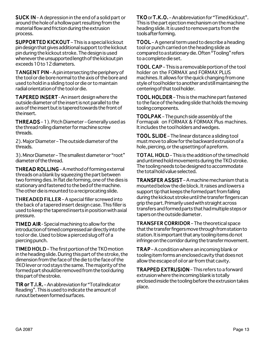**SUCK IN** – A depression in the end of a solid part or around the hole of a hollow part resulting from the material flow and friction during the extrusion process.

**SUPPORTED KICKOUT** – This is a special kickout pin design that gives additional support to the kickout pin during the kickout stroke. The design is used whenever the unsupported length of the kickout pin exceeds 10 to 12 diameters.

TANGENT PIN – A pin intersecting the periphery of the tool or die bore normal to the axis of the bore and used to hold in a sliding tool or die or to maintain radial orientation of the tool or die.

**TAPERED INSERT** - An insert design where the outside diameter of the insert is not parallel to the axis of the insert but is tapered towards the front of the insert.

**THREADS** – 1). Pitch Diameter – Generally used as the thread rolling diameter for machine screw threads.

2). Major Diameter – The outside diameter of the threads.

3). Minor Diameter – The smallest diameter or "root" diameter of the thread.

THREAD ROLLING – A method of forming external threads on a blank by squeezing the part between two forming dies. In flat die forming, one of the dies is stationary and fastened to the bed of the machine. The other die is mounted to a reciprocating slide.

THREADED FILLER - A special filler screwed into the back of a tapered insert design case. This filler is used to keep the tapered inserts in position with axial pressure.

**TIMED AIR** - Special machining to allow for the introduction of timed compressed air directly into the tool or die. Used to blow a pierced slug off of a piercing punch.

**TIMED HOLD** – The first portion of the TKO motion in the heading slide. During this part of the stroke, the dimension from the face of the die to the face of the TKO lever or rod stays the same. The majority of the formed part should be removed from the tool during this part of the stroke.

TIR or T.I.R. - An abbreviation for "Total Indicator Reading". This is used to indicate the amount of runout between formed surfaces.

 $TKO$  or  $T.K.O.$  – An abbreviation for "Timed Kickout". This is the part ejection mechanism on the machine heading slide. It is used to remove parts from the tools after forming.

 $TOOL - A$  general term used to describe a heading tool or punch carried on the heading slide as compared to a stationary die. Often "Tooling" refers to a complete die set.

TOOL CAP – This is a removable portion of the tool holder on the FORMAX and FORMAX PLUS machines. It allows for the quick changing from one style of tool holder to another and still maintaining the centering of that tool holder.

TOOL HOLDER - This is the machine part fastened to the face of the heading slide that holds the moving tooling components.

TOOLPAK – The punch side assembly of the Formapak on FORMAX & FORMAX Plus machines. It includes the tool holders and wedges.

TOOL SLIDE - The linear distance a sliding tool must move to allow for the backward extrusion of a hole, piercing, or the upsetting of a preform.

TOTAL HOLD – This is the addition of the timed hold and untimed hold movements during the TKO stroke. The tooling needs to be designed to accommodate the total hold value selected.

TRANSFER ASSIST – A machine mechanism that is mounted below the die block. It raises and lowers a support tip that keeps the formed part from falling during the kickout stroke until the transfer fingers can grip the part. Primarily used with straight across transfers and formed parts that had multiple steps or tapers on the outside diameter.

TRANSFER CORRIDOR – The theoretical space that the transfer fingers move through from station to station. It is important that any tooling items do not infringe on the corridor during the transfer movement.

**TRAP** – A condition where an incoming blank or tooling item forms an enclosed cavity that does not allow the escape of oil or air from that cavity.

TRAPPED EXTRUSION - This refers to a forward extrusion where the incoming blank is totally enclosed inside the tooling before the extrusion takes place.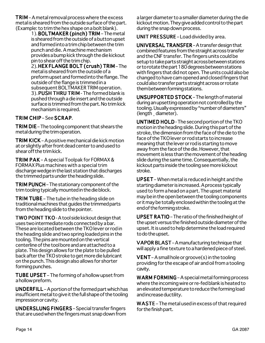$TRIM - A metal$  removal process where the excess metal is sheared from the outside surface of the part. (Example: to trim the hex shape on a bolt blank).

1). BOLTMAKER (pinch) TRIM – The metal is sheared from the outside of a button upset and formed into a trim chip between the trim punch and die. A machine mechanism provides a bump kick through the die kickout pin to shear off the trim chip.

 $2)$ . HEX FLANGE BOLT (crush) TRIM-The metal is sheared from the outside of a preform upset and formed into the flange. The outside of the flange is trimmed in a subsequent BOLTMAKER TRIM operation. 3). PUSH THRU TRIM - The formed blank is pushed through a die insert and the outside surface is trimmed from the part. No trim kick mechanism is required.

# TRIM CHIP-See SCRAP.

**TRIM DIE** – The tooling component that shears the metal during the trim operation.

TRIM KICK – A positive mechanical die kick motion at or slightly after front dead center to and used to shear off the trim kick.

TRIM PAK – A special Toolpak for FORMAX & FORMAX Plus machines with a special trim discharge wedge in the last station that discharges the trimmed parts under the heading slide.

**TRIM PUNCH** – The stationary component of the trim tooling typically mounted in the die block.

**TRIM TUBE** – The tube in the heading slide on traditional machines that guides the trimmed parts from the heading slide to the pointer.

TWO POINT TKO - A tool side kickout design that uses two intermediate rods connected by a bar. These are located between the TKO lever or rod in the heading slide and two spring loaded pins in the tooling. The pins are mounted on the vertical centerline of the tool bore and are attached to a plate. This design allows for the plate to be pulled back after the TKO stroke to get more die lubricant on the punch. This design also allows for shorter forming punches.

TUBE UPSET - The forming of a hollow upset from a hollow preform.

UNDERFILL – A portion of the formed part which has insufficient metal to give it the full shape of the tooling impression or cavity.

UNDERSLUNG FINGERS - Special transfer fingers that are used when the fingers must snap down from a larger diameter to a smaller diameter during the die kickout motion. They give added control to the part during the snap down process.

UNIT PRESSURE – Load divided by area.

UNIVERSAL TRANSFER - A transfer design that combined features from the straight across transfer and the CNF transfer. The fingers units could be setup to take parts straight across between stations or to rotate the part 180 degrees between stations with fingers that did not open. The units could also be changed to have cam opened and closed fingers that could also transfer parts straight across or rotate them between forming stations.

**UNSUPPORTED STOCK - The length of material** during an upsetting operation not controlled by the tooling. Usually expressed by "number of diameters" (length ¸ diameter).

**UNTIMED HOLD** - The second portion of the TKO motion in the heading slide. During this part of the stroke, the dimension from the face of the die to the face of the TKO lever or rod starts to increase meaning that the lever or rod is starting to move away from the face of the die. However, that movement is less than the movement of the heading slide during the same time. Consequentially, the kickout parts inside the tooling see more kickout stroke.

 $UPSET$  – When metal is reduced in height and the starting diameter is increased. A process typically used to form a head on a part. The upset material may be in the open between the tooling components or it may be totally enclosed within the tooling at the end of the forming stroke.

UPSET RATIO – The ratio of the finished height of the upset versus the finished outside diameter of the upset. It is used to help determine the load required to do the upset.

VAPOR BLAST - A manufacturing technique that will apply a fine texture to a hardened piece of steel.

**VENT** – A small hole or groove(s) in the tooling providing for the escape of air and oil from a tooling cavity.

WARM FORMING – A special metal forming process where the incoming wire or re-fed blank is heated to an elevated temperature to reduce the forming load and increase ductility.

 $WASTE$  – The metal used in excess of that required for the finish part.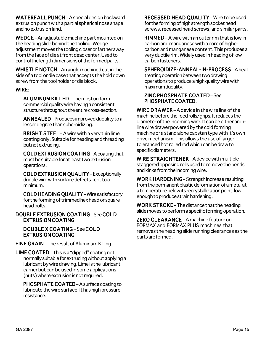WATERFALL PUNCH - A special design backward extrusion punch with a partial spherical nose shape and no extrusion land.

WEDGE – An adjustable machine part mounted on the heading slide behind the tooling. Wedge adjustment moves the tooling closer or farther away from the face of die at front dead center. Used to control the length dimensions of the formed parts.

WHISTLE NOTCH – An angle machined cut in the side of a tool or die case that accepts the hold down screw from the tool holder or die block.

# WIRE:

ALUMINUM KILLED – The most uniform commercial quality wire having a consistent structure throughout the entire cross-section.

ANNEALED - Produces improved ductility to a lesser degree than spheroidizing.

BRIGHT STEEL – A wire with a very thin lime coating only. Suitable for heading and threading but not extruding.

COLD EXTRUSION COATING - A coating that must be suitable for at least two extrusion operations.

COLD EXTRUSION QUALITY – Exceptionally ductile wire with surface defects kept to a minimum.

COLD HEADING QUALITY - Wire satisfactory for the forming of trimmed hex head or square head bolts.

# DOUBLE EXTRUSION COATING - See COLD **EXTRUSION COATING.**

DOUBLE X COATING – See COLD **EXTRUSION COATING.** 

FINE GRAIN - The result of Aluminum Killing.

LIME COATED – This is a "dipped" coating not normally suitable for extruding without applying a lubricant by wire drawing. Lime is the lubricant carrier but can be used in some applications (nuts) where extrusion is not required.

PHOSPHATE COATED - A surface coating to lubricate the wire surface. It has high pressure resistance.

RECESSED HEAD QUALITY - Wire to be used for the forming of high strength socket head screws, recessed head screws, and similar parts.

**RIMMED** – A wire with an outer rim that is low in carbon and manganese with a core of higher carbon and manganese content. This produces a very ductile rim. Widely used in heading of low carbon fasteners.

# SPHEROIDIZE-ANNEAL-IN-PROCESS-A heat

treating operation between two drawing operations to produce a high quality wire with maximum ductility.

#### **ZINC PHOSPHATE COATED-See** PHOSPHATE COATED.

WIRE DRAWER – A device in the wire line of the machine before the feed rolls/grips. It reduces the diameter of the incoming wire. It can be either an inline wire drawer powered by the cold forming machine or a stand alone capstan type with it's own drive mechanism. This allows the use of larger toleranced hot rolled rod which can be draw to specific diameters.

WIRE STRAIGHTENER – A device with multiple staggered opposing rolls used to remove the bends and kinks from the incoming wire.

WORK HARDENING – Strength increase resulting from the permanent plastic deformation of a metal at a temperature below its recrystallization point, low enough to produce strain hardening.

WORK STROKE – The distance that the heading slide moves to perform a specific forming operation.

ZERO CLEARANCE – A machine feature on FORMAX and FORMAX PLUS machines that removes the heading slide running clearances as the parts are formed.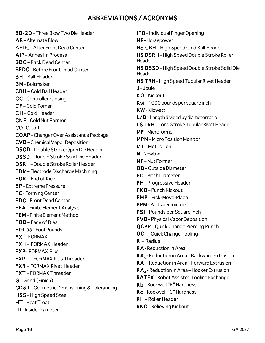# ABBREVIATIONS / ACRONYMS

3B-2D – 3B-2D Three Blow Two Die Header  $AB -$ Alternate Blow AFDC – After Front Dead Center AIP – Anneal in Process BDC –Back Dead Center BFDC –Before Front Dead Center **BH** – Ball Header **BM-Boltmaker** CBH – Cold Ball Header CC – Controlled Closing CF – Cold Fomer C H – Cold Header CNF – Cold Nut Former CO-Cutoff COAP –Changer Over Assistance Package CVD –Chemical Vapor Deposition DSOD – Double Stroke Open Die Header DSSD –Double Stroke Solid Die Header DSRH –Double Stroke Roller Header EDM – Electrode Discharge Machining EDM  $EOK$  – End of Kick E P – Extreme Pressure FC - Forming Center FDC – Front Dead Center **FEA** – Finite Element Analysis FEM – Finite Element Method  $FOD - Face of Dies$ Ft-Lbs-Foot Pounds  $FX - FORMAX$ FXH – FORMAX Header **FXP- FORMAX Plus** FXPT –FORMAX Plus Threader **FXR** – FORMAX Rivet Header **FXT** – FORMAX Threader G – Grind (Finish) G GD&T –Geometric Dimensioning & Tolerancing HSS-High Speed Steel HT-Heat Treat **ID** – Inside Diameter

IFO - Individual Finger Opening HP-Horsepower HS CBH - High Speed Cold Ball Header HS DSRH-High Speed Double Stroke Roller Header HS DSSD-High Speed Double Stroke Solid Die Header HS TRH – High Speed Tubular Rivet Header J - Joule J KO-Kickout  $Ksi - 1000$  pounds per square inch **KW-Kilowatt**  $L/D$  – Length divided by diameter ratio LS TRH-Long Stroke Tubular Rivet Header MF-Microformer **MPM** – Micro Position Monitor MT-Metric Ton N-Newton  $NF - N$ ut Former OD-Outside Diameter PD-Pitch Diameter PH – Progressive Header PKO – Punch Kickout PMP – Pick-Move-Place PPM - Parts per minute PSI – Pounds per Square Inch PVD – Physical Vapor Deposition QCPP – Quick Change Piercing Punch QCPP **OCT** - Ouick Change Tooling  $R -$  Radius RA - Reduction in Area RA<sub>p</sub> - Reduction in Area – Backward Extrusion  $RA<sub>r</sub>$  - Reduction in Area – Forward Extrusion RA<sub>u</sub> - Reduction in Area – Hooker Extrusion RATEX – Robot Assisted Tooling Exchange R b – Rockwell "B" Hardness R b R c – Rockwell "C" Hardness c RH – Roller Header RKO-Relieving Kickout